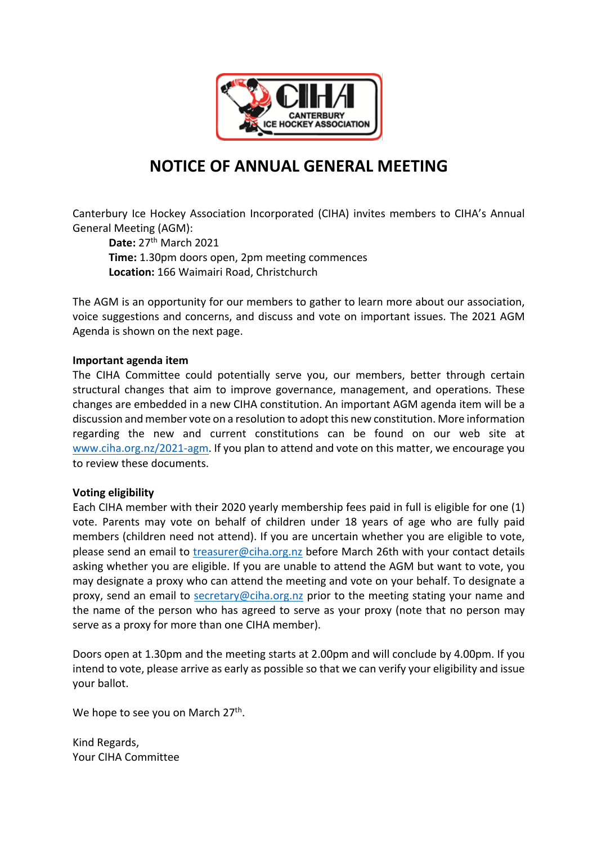

# **NOTICE OF ANNUAL GENERAL MEETING**

Canterbury Ice Hockey Association Incorporated (CIHA) invites members to CIHA's Annual General Meeting (AGM):

**Date: 27<sup>th</sup> March 2021 Time:** 1.30pm doors open, 2pm meeting commences **Location:** 166 Waimairi Road, Christchurch

The AGM is an opportunity for our members to gather to learn more about our association, voice suggestions and concerns, and discuss and vote on important issues. The 2021 AGM Agenda is shown on the next page.

### **Important agenda item**

The CIHA Committee could potentially serve you, our members, better through certain structural changes that aim to improve governance, management, and operations. These changes are embedded in a new CIHA constitution. An important AGM agenda item will be a discussion and member vote on a resolution to adopt this new constitution. More information regarding the new and current constitutions can be found on our web site at www.ciha.org.nz/2021-agm. If you plan to attend and vote on this matter, we encourage you to review these documents.

### **Voting eligibility**

Each CIHA member with their 2020 yearly membership fees paid in full is eligible for one (1) vote. Parents may vote on behalf of children under 18 years of age who are fully paid members (children need not attend). If you are uncertain whether you are eligible to vote, please send an email to treasurer@ciha.org.nz before March 26th with your contact details asking whether you are eligible. If you are unable to attend the AGM but want to vote, you may designate a proxy who can attend the meeting and vote on your behalf. To designate a proxy, send an email to secretary@ciha.org.nz prior to the meeting stating your name and the name of the person who has agreed to serve as your proxy (note that no person may serve as a proxy for more than one CIHA member).

Doors open at 1.30pm and the meeting starts at 2.00pm and will conclude by 4.00pm. If you intend to vote, please arrive as early as possible so that we can verify your eligibility and issue your ballot.

We hope to see you on March 27<sup>th</sup>.

Kind Regards, Your CIHA Committee